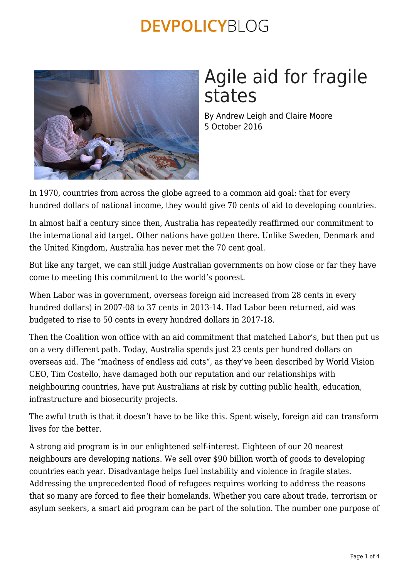

# Agile aid for fragile states

By Andrew Leigh and Claire Moore 5 October 2016

In 1970, countries from across the globe agreed to a common aid goal: that for every hundred dollars of national income, they would give 70 cents of aid to developing countries.

In almost half a century since then, Australia has repeatedly reaffirmed our commitment to the international aid target. Other nations have gotten there. Unlike Sweden, Denmark and the United Kingdom, Australia has never met the 70 cent goal.

But like any target, we can still judge Australian governments on how close or far they have come to meeting this commitment to the world's poorest.

When Labor was in government, overseas foreign aid increased from 28 cents in every hundred dollars) in 2007-08 to 37 cents in 2013-14. Had Labor been returned, aid was budgeted to rise to 50 cents in every hundred dollars in 2017-18.

Then the Coalition won office with an aid commitment that matched Labor's, but then put us on a very different path. Today, Australia spends just 23 cents per hundred dollars on overseas aid. The "madness of endless aid cuts", as they've been described by World Vision CEO, Tim Costello, have damaged both our reputation and our relationships with neighbouring countries, have put Australians at risk by cutting public health, education, infrastructure and biosecurity projects.

The awful truth is that it doesn't have to be like this. Spent wisely, foreign aid can transform lives for the better.

A strong aid program is in our enlightened self-interest. Eighteen of our 20 nearest neighbours are developing nations. We sell over \$90 billion worth of goods to developing countries each year. Disadvantage helps fuel instability and violence in fragile states. Addressing the unprecedented flood of refugees requires working to address the reasons that so many are forced to flee their homelands. Whether you care about trade, terrorism or asylum seekers, a smart aid program can be part of the solution. The number one purpose of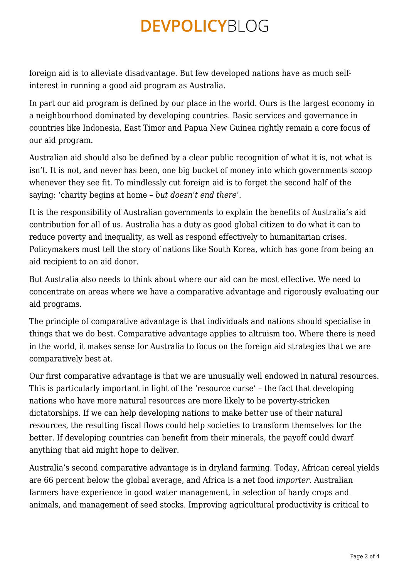foreign aid is to alleviate disadvantage. But few developed nations have as much selfinterest in running a good aid program as Australia.

In part our aid program is defined by our place in the world. Ours is the largest economy in a neighbourhood dominated by developing countries. Basic services and governance in countries like Indonesia, East Timor and Papua New Guinea rightly remain a core focus of our aid program.

Australian aid should also be defined by a clear public recognition of what it is, not what is isn't. It is not, and never has been, one big bucket of money into which governments scoop whenever they see fit. To mindlessly cut foreign aid is to forget the second half of the saying: 'charity begins at home – *but doesn't end there*'.

It is the responsibility of Australian governments to explain the benefits of Australia's aid contribution for all of us. Australia has a duty as good global citizen to do what it can to reduce poverty and inequality, as well as respond effectively to humanitarian crises. Policymakers must tell the story of nations like South Korea, which has gone from being an aid recipient to an aid donor.

But Australia also needs to think about where our aid can be most effective. We need to concentrate on areas where we have a comparative advantage and rigorously evaluating our aid programs.

The principle of comparative advantage is that individuals and nations should specialise in things that we do best. Comparative advantage applies to altruism too. Where there is need in the world, it makes sense for Australia to focus on the foreign aid strategies that we are comparatively best at.

Our first comparative advantage is that we are unusually well endowed in natural resources. This is particularly important in light of the 'resource curse' – the fact that developing nations who have more natural resources are more likely to be poverty-stricken dictatorships. If we can help developing nations to make better use of their natural resources, the resulting fiscal flows could help societies to transform themselves for the better. If developing countries can benefit from their minerals, the payoff could dwarf anything that aid might hope to deliver.

Australia's second comparative advantage is in dryland farming. Today, African cereal yields are 66 percent below the global average, and Africa is a net food *importer*. Australian farmers have experience in good water management, in selection of hardy crops and animals, and management of seed stocks. Improving agricultural productivity is critical to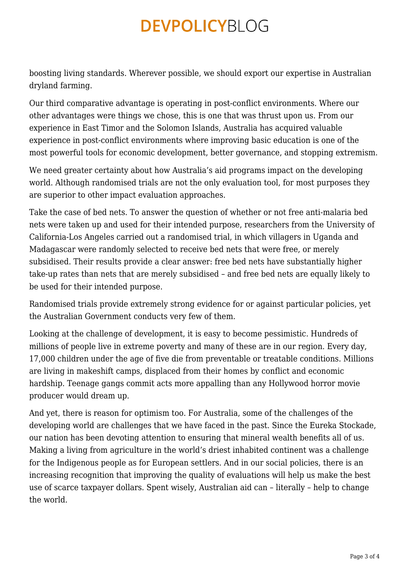boosting living standards. Wherever possible, we should export our expertise in Australian dryland farming.

Our third comparative advantage is operating in post-conflict environments. Where our other advantages were things we chose, this is one that was thrust upon us. From our experience in East Timor and the Solomon Islands, Australia has acquired valuable experience in post-conflict environments where improving basic education is one of the most powerful tools for economic development, better governance, and stopping extremism.

We need greater certainty about how Australia's aid programs impact on the developing world. Although randomised trials are not the only evaluation tool, for most purposes they are superior to other impact evaluation approaches.

Take the case of bed nets. To answer the question of whether or not free anti-malaria bed nets were taken up and used for their intended purpose, researchers from the University of California-Los Angeles carried out a randomised trial, in which villagers in Uganda and Madagascar were randomly selected to receive bed nets that were free, or merely subsidised. Their results provide a clear answer: free bed nets have substantially higher take-up rates than nets that are merely subsidised – and free bed nets are equally likely to be used for their intended purpose.

Randomised trials provide extremely strong evidence for or against particular policies, yet the Australian Government conducts very few of them.

Looking at the challenge of development, it is easy to become pessimistic. Hundreds of millions of people live in extreme poverty and many of these are in our region. Every day, 17,000 children under the age of five die from preventable or treatable conditions. Millions are living in makeshift camps, displaced from their homes by conflict and economic hardship. Teenage gangs commit acts more appalling than any Hollywood horror movie producer would dream up.

And yet, there is reason for optimism too. For Australia, some of the challenges of the developing world are challenges that we have faced in the past. Since the Eureka Stockade, our nation has been devoting attention to ensuring that mineral wealth benefits all of us. Making a living from agriculture in the world's driest inhabited continent was a challenge for the Indigenous people as for European settlers. And in our social policies, there is an increasing recognition that improving the quality of evaluations will help us make the best use of scarce taxpayer dollars. Spent wisely, Australian aid can – literally – help to change the world.